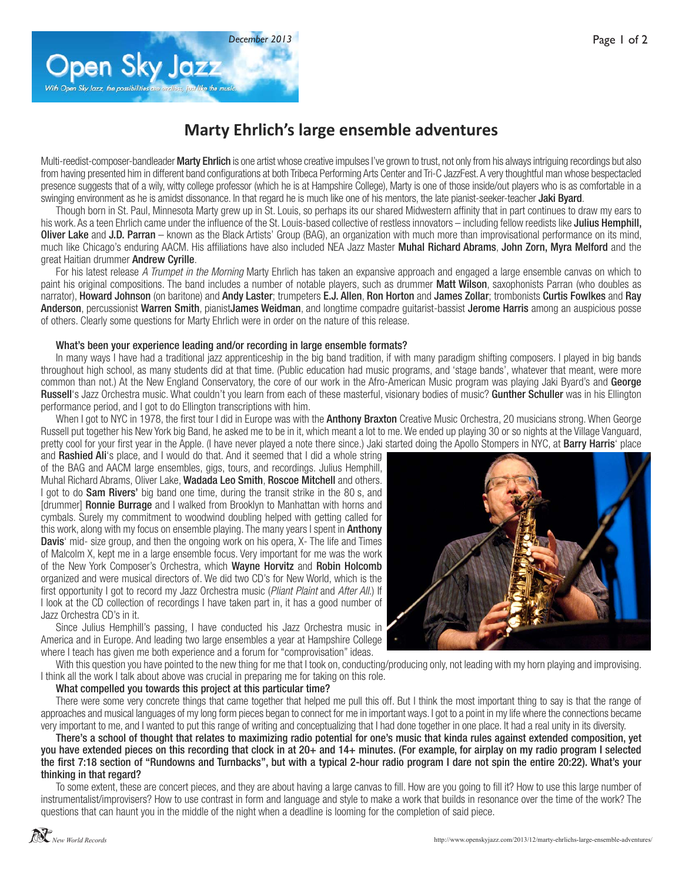

## **Marty Ehrlich's large ensemble adventures**

Multi-reedist-composer-bandleader Marty Ehrlich is one artist whose creative impulses I've grown to trust, not only from his always intriguing recordings but also from having presented him in different band configurations at both Tribeca Performing Arts Center and Tri-C JazzFest. A very thoughtful man whose bespectacled presence suggests that of a wily, witty college professor (which he is at Hampshire College), Marty is one of those inside/out players who is as comfortable in a swinging environment as he is amidst dissonance. In that regard he is much like one of his mentors, the late pianist-seeker-teacher Jaki Byard.

Though born in St. Paul, Minnesota Marty grew up in St. Louis, so perhaps its our shared Midwestern affinity that in part continues to draw my ears to his work. As a teen Ehrlich came under the influence of the St. Louis-based collective of restless innovators – including fellow reedists like Julius Hemphill, **Oliver Lake** and **J.D. Parran** – known as the Black Artists' Group (BAG), an organization with much more than improvisational performance on its mind, much like Chicago's enduring AACM. His affiliations have also included NEA Jazz Master Muhal Richard Abrams. John Zorn, Myra Melford and the great Haitian drummer Andrew Cyrille.

For his latest release *A Trumpet in the Morning* Marty Ehrlich has taken an expansive approach and engaged a large ensemble canvas on which to paint his original compositions. The band includes a number of notable players, such as drummer Matt Wilson, saxophonists Parran (who doubles as narrator), Howard Johnson (on baritone) and Andy Laster; trumpeters E.J. Allen, Ron Horton and James Zollar; trombonists Curtis Fowlkes and Ray Anderson, percussionist Warren Smith, pianistJames Weidman, and longtime compadre quitarist-bassist Jerome Harris among an auspicious posse of others. Clearly some questions for Marty Ehrlich were in order on the nature of this release.

## What's been your experience leading and/or recording in large ensemble formats?

In many ways I have had a traditional jazz apprenticeship in the big band tradition, if with many paradigm shifting composers. I played in big bands throughout high school, as many students did at that time. (Public education had music programs, and 'stage bands', whatever that meant, were more common than not.) At the New England Conservatory, the core of our work in the Afro-American Music program was playing Jaki Byard's and George Russell's Jazz Orchestra music. What couldn't you learn from each of these masterful, visionary bodies of music? Gunther Schuller was in his Ellington performance period, and I got to do Ellington transcriptions with him.

When I got to NYC in 1978, the first tour I did in Europe was with the **Anthony Braxton** Creative Music Orchestra, 20 musicians strong. When George Russell put together his New York big Band, he asked me to be in it, which meant a lot to me. We ended up playing 30 or so nights at the Village Vanguard, pretty cool for your first year in the Apple. (I have never played a note there since.) Jaki started doing the Apollo Stompers in NYC, at **Barry Harris'** place

and **Rashied Ali**'s place, and I would do that. And it seemed that I did a whole string of the BAG and AACM large ensembles, gigs, tours, and recordings. Julius Hemphill, Muhal Richard Abrams, Oliver Lake, Wadada Leo Smith, Roscoe Mitchell and others. I got to do **Sam Rivers'** big band one time, during the transit strike in the 80 s, and [drummer] Ronnie Burrage and I walked from Brooklyn to Manhattan with horns and cymbals. Surely my commitment to woodwind doubling helped with getting called for this work, along with my focus on ensemble playing. The many years I spent in **Anthony Davis**' mid- size group, and then the ongoing work on his opera, X- The life and Times of Malcolm X, kept me in a large ensemble focus. Very important for me was the work of the New York Composer's Orchestra, which Wayne Horvitz and Robin Holcomb organized and were musical directors of. We did two CD's for New World, which is the first opportunity I got to record my Jazz Orchestra music (*Pliant Plaint* and *After All*.) If I look at the CD collection of recordings I have taken part in, it has a good number of Jazz Orchestra CD's in it.

Since Julius Hemphill's passing, I have conducted his Jazz Orchestra music in America and in Europe. And leading two large ensembles a year at Hampshire College where I teach has given me both experience and a forum for "comprovisation" ideas.



With this question you have pointed to the new thing for me that I took on, conducting/producing only, not leading with my horn playing and improvising. I think all the work I talk about above was crucial in preparing me for taking on this role.

## What compelled you towards this project at this particular time?

There were some very concrete things that came together that helped me pull this off. But I think the most important thing to say is that the range of approaches and musical languages of my long form pieces began to connect for me in important ways. I got to a point in my life where the connections became very important to me, and I wanted to put this range of writing and conceptualizing that I had done together in one place. It had a real unity in its diversity.

There's a school of thought that relates to maximizing radio potential for one's music that kinda rules against extended composition, yet you have extended pieces on this recording that clock in at 20+ and 14+ minutes. (For example, for airplay on my radio program I selected the first 7:18 section of "Rundowns and Turnbacks", but with a typical 2-hour radio program I dare not spin the entire 20:22). What's your thinking in that regard?

To some extent, these are concert pieces, and they are about having a large canvas to fill. How are you going to fill it? How to use this large number of instrumentalist/improvisers? How to use contrast in form and language and style to make a work that builds in resonance over the time of the work? The questions that can haunt you in the middle of the night when a deadline is looming for the completion of said piece.